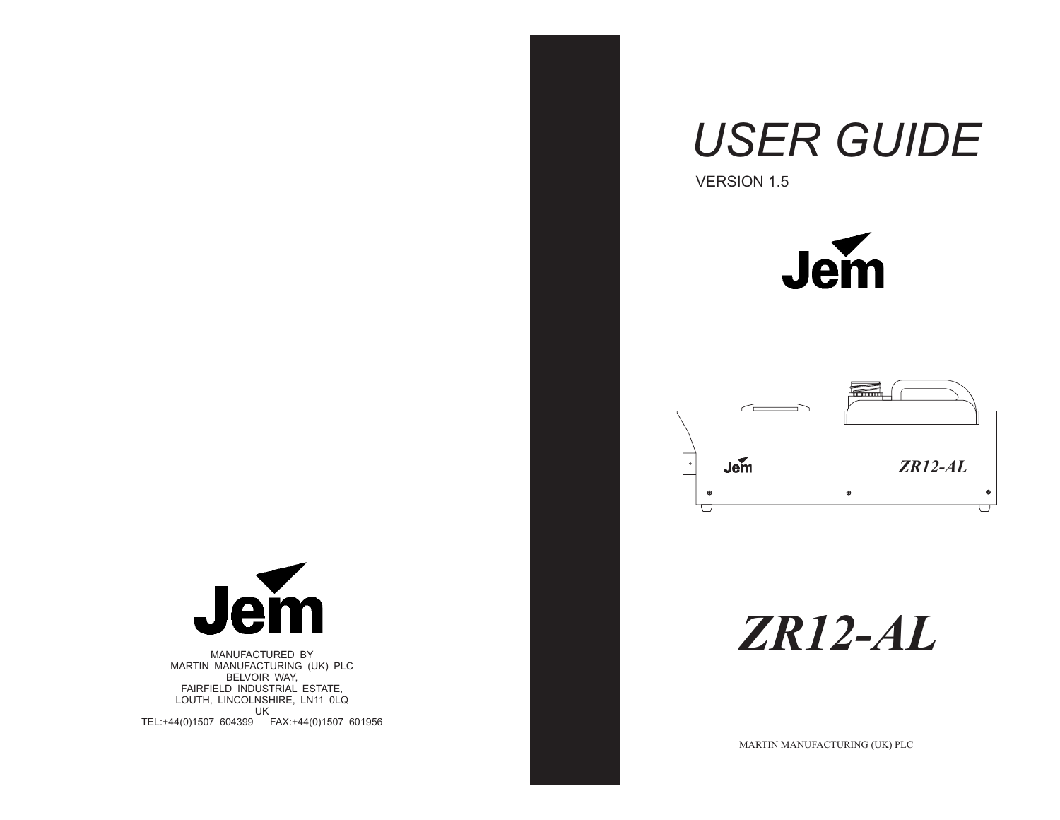# Jem  $\cup$

MANUFACTURED BY MARTIN MANUFACTURING (UK) PLC BELVOIR WAY, FAIRFIELD INDUSTRIAL ESTATE, LOUTH, LINCOLNSHIRE, LN11 0LQ UKTEL:+44(0)1507 604399 FAX:+44(0)1507 601956

# *USER GUIDE*

VERSION 1.5





*ZR12-AL*

MARTIN MANUFACTURING (UK) PLC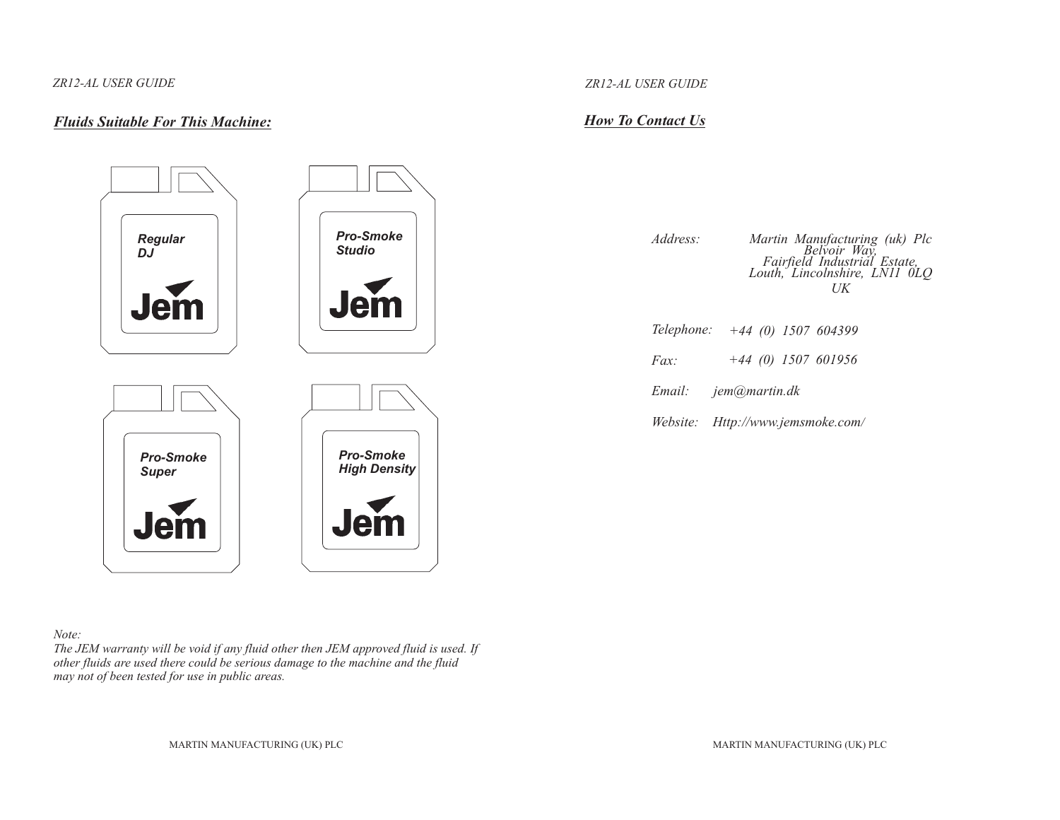# *Fluids Suitable For This Machine:*



#### *Note:*

The JEM warranty will be void if any fluid other then JEM approved fluid is used. If other fluids are used there could be serious damage to the machine and the fluid *may not of been tested for use in public areas.*

#### *ZR12-AL USER GUIDE*

# *How To Contact Us*

*Address:*Martin Manufacturing (uk) Plc<br>Belvoir Way,<br>Fairfield Industrial Estate,<br>Louth, Lincolnshire, LN11 0LQ *UK*

- *Telephone: +44 (0) 1507 604399*
- *Fax:+44 (0) 1507 601956*
- *Email: jem@martin.dk*
- *Website: Http://www.jemsmoke.com/*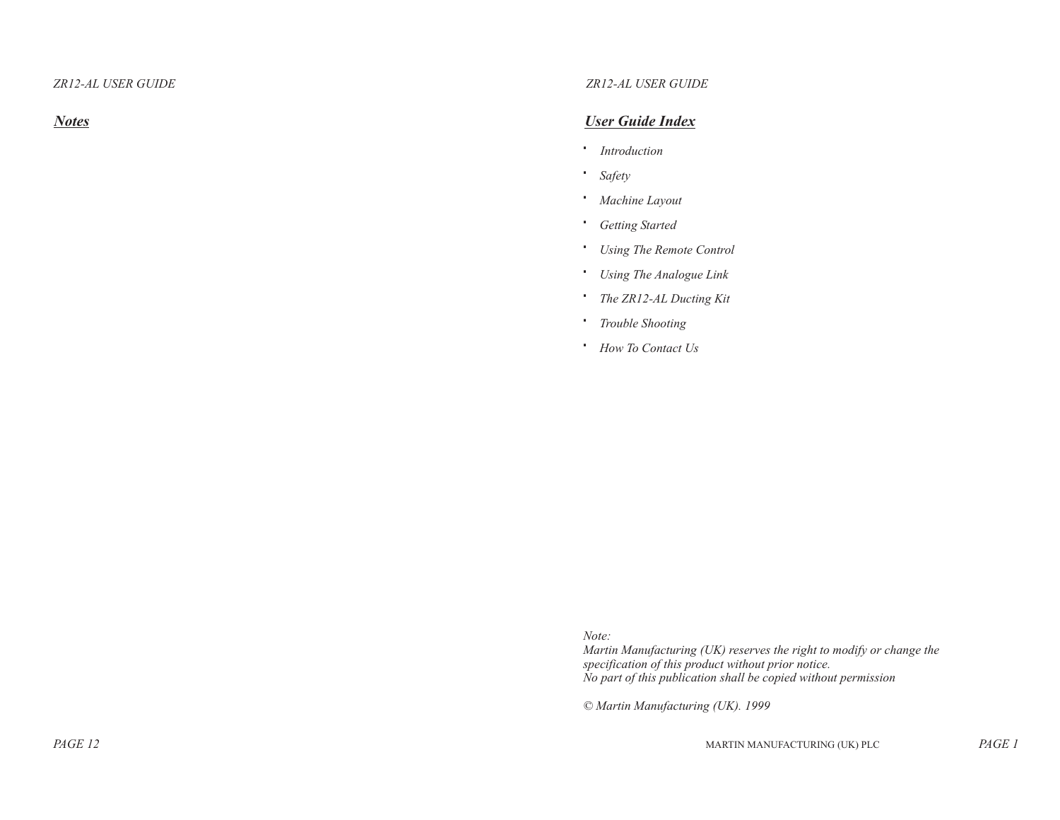*Notes*

# *ZR12-AL USER GUIDE*

#### *User Guide Index*

*Introduction*

*Safety*

*Machine Layout*

*Getting Started*

*Using The Remote Control*

*Using The Analogue Link*

*The ZR12-AL Ducting Kit*

*Trouble Shooting*

*How To Contact Us*

*Note:*

 *Martin Manufacturing (UK) reserves the right to modify or change the specification of this product without prior notice. No par<sup>t</sup> of this publication shall be copied without permission*

*© Martin Manufacturing (UK). 1999*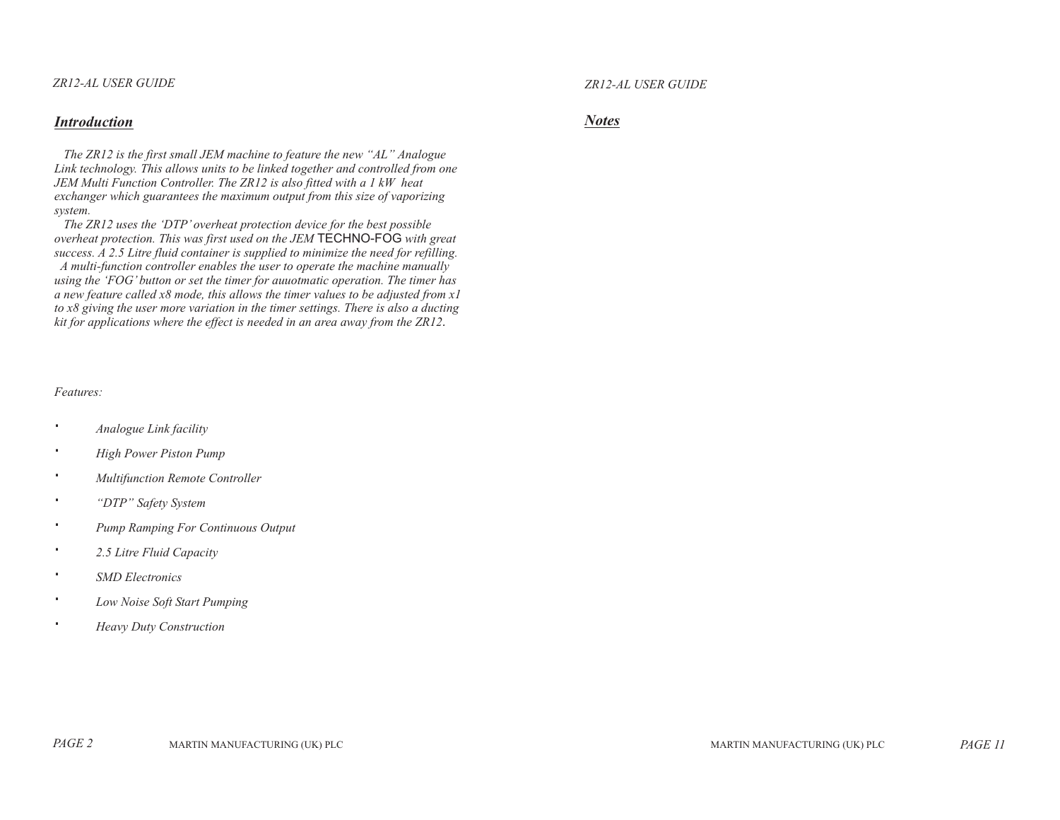#### *Introduction*

The ZR12 is the first small JEM machine to feature the new "AL" Analogue Link technology. This allows units to be linked together and controlled from one JEM Multi Function Controller. The ZR12 is also fitted with a 1 kW heat exchanger which guarantees the maximum output from this size of vaporizing *system.*

The ZR12 uses the 'DTP' overheat protection device for the best possible overheat protection. This was first used on the JEM **TECHNO-FOG** with great success. A 2.5 Litre fluid container is supplied to minimize the need for refilling. A multi-function controller enables the user to operate the machine manually using the 'FOG' button or set the timer for aunotmatic operation. The timer has a new feature called  $x8$  mode, this allows the timer values to be adjusted from  $x1$ to x8 giving the user more variation in the timer settings. There is also a ducting kit for applications where the effect is needed in an area away from the ZR12.

#### *Features:*

*Analogue Link facility High Power Piston Pump Multifunction Remote Controller "DTP" Safety System Pump Ramping For Continuous Output 2.5 Litre Fluid Capacity SMD ElectronicsLow Noise Soft Start Pumping Heavy Duty Construction*

*ZR12-AL USER GUIDE*

#### *Notes*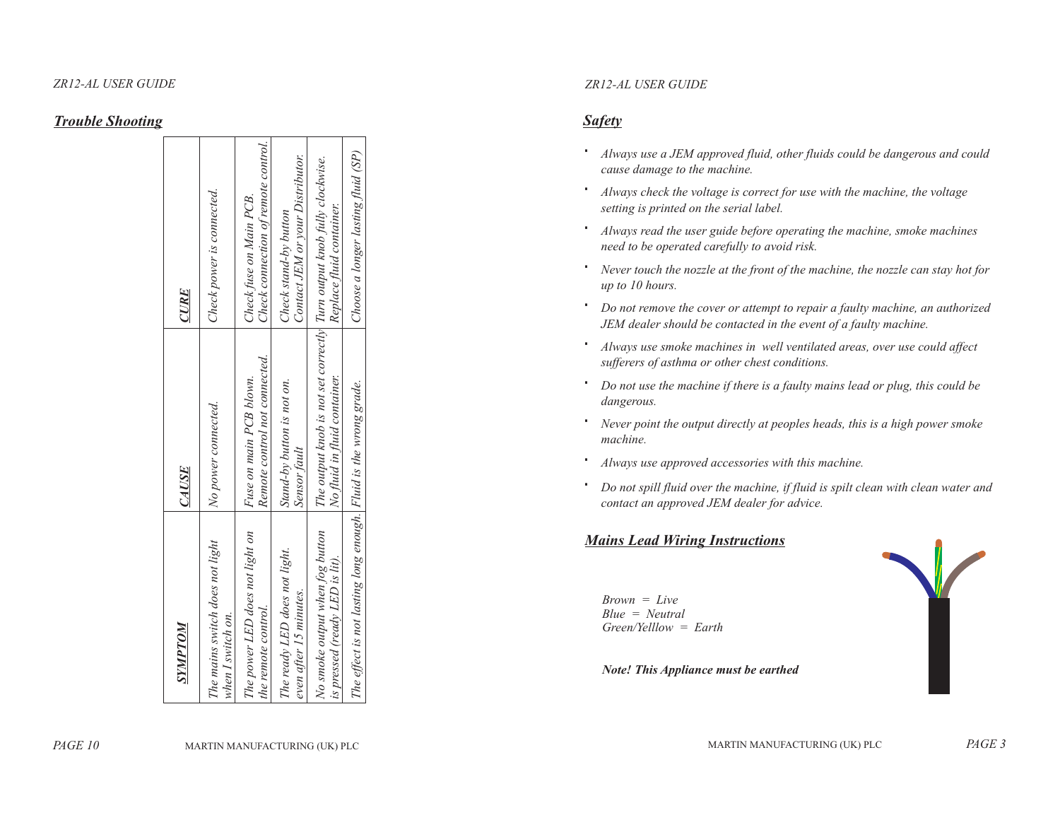# *Trouble Shooting*

| NOLANIS                                                           | CAUSE                                                                                                   | CURE                                                           |
|-------------------------------------------------------------------|---------------------------------------------------------------------------------------------------------|----------------------------------------------------------------|
| The mains switch does not light<br>when I switch on.              | No power connected.                                                                                     | Check power is connected.                                      |
| The power LED does not light on<br>the remote control.            | Remote control not connected.<br>Fuse on main PCB blown.                                                | Check connection of remote control.<br>Check fuse on Main PCB. |
| The ready LED does not light.<br>even after 15 minutes.           | Stand-by button is not on.<br>Sensor fault                                                              | Contact JEM or your Distributor.<br>Check stand-by button      |
| No smoke output when fog button<br>is pressed (ready LED is lit). | The output knob is not set correctly  Turn output knob fully clockwise.<br>No fluid in fluid container. | Replace fluid container.                                       |
| The effect is not lasting long enough. Fluid is the wrong grade.  |                                                                                                         | Choose a longer lasting fluid (SP)                             |

#### *ZR12-AL USER GUIDE*

# *Safety*

Always use a JEM approved fluid, other fluids could be dangerous and could *cause damage to the machine.*

Always check the voltage is correct for use with the machine, the voltage *setting is printed on the serial label.*

Always read the user guide before operating the machine, smoke machines *need to be operated carefully to avoid risk.*

Never touch the nozzle at the front of the machine, the nozzle can stay hot for *up to 10 hours.*

Do not remove the cover or attempt to repair a faulty machine, an authorized JEM dealer should be contacted in the event of a faulty machine.

Always use smoke machines in well ventilated areas, over use could affect *sufferers of asthma or other chest conditions.*

Do not use the machine if there is a faulty mains lead or plug, this could be *dangerous.*

Never point the output directly at peoples heads, this is a high power smoke *machine.*

*Always use approved accessories with this machine.*

Do not spill fluid over the machine, if fluid is spilt clean with clean water and *contact an approved JEM dealer for advice.*

# *Mains Lead Wiring Instructions*

*Brown <sup>=</sup> LiveBlue <sup>=</sup> Neutral Green/Yelllow <sup>=</sup> Earth*

*Note! This Appliance must be earthed*

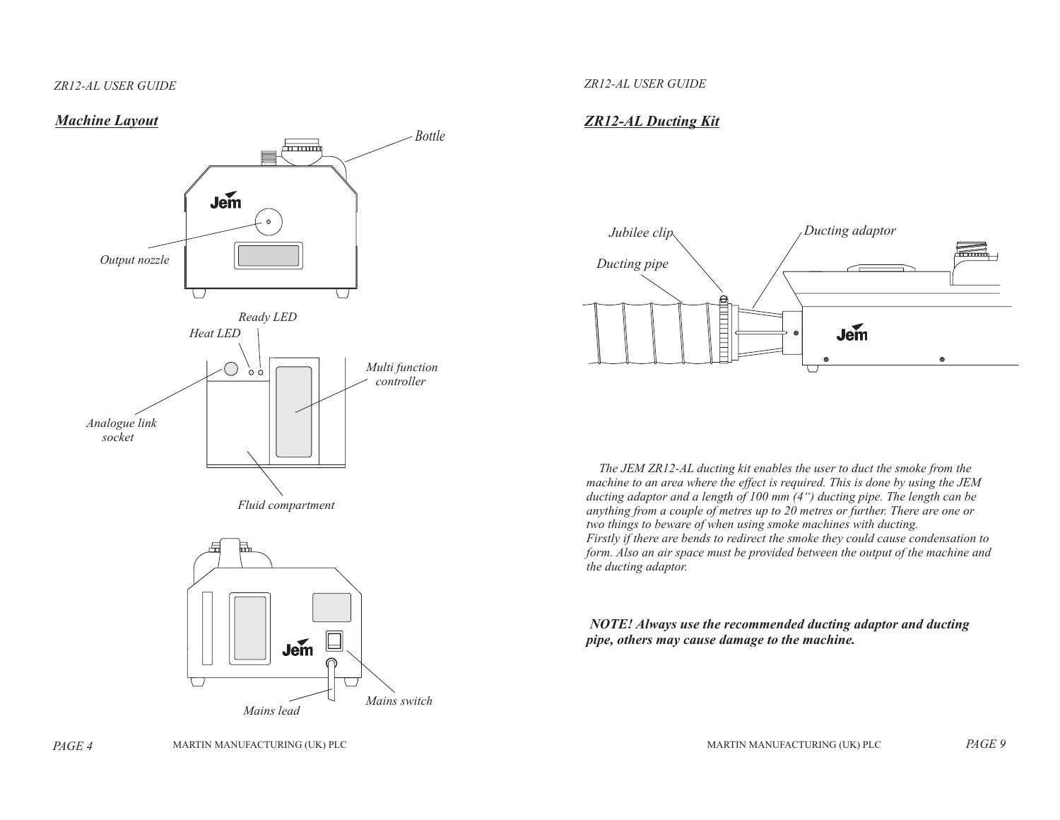# *Machine Layout*





#### *ZR12-AL USER GUIDE*

# *ZR12-AL Ducting Kit*



The JEM ZR12-AL ducting kit enables the user to duct the smoke from the machine to an area where the effect is required. This is done by using the JEM ducting adaptor and a length of 100 mm  $(4^{\circ})$  ducting pipe. The length can be anything from a couple of metres up to 20 metres or further. There are one or *two things to beware of when using smoke machines with ducting.* Firstly if there are bends to redirect the smoke they could cause condensation to form. Also an air space must be provided between the output of the machine and *the ducting adaptor.*

#### *NOTE! Always use the recommended ducting adaptor and ducting pipe, others may cause damage to the machine.*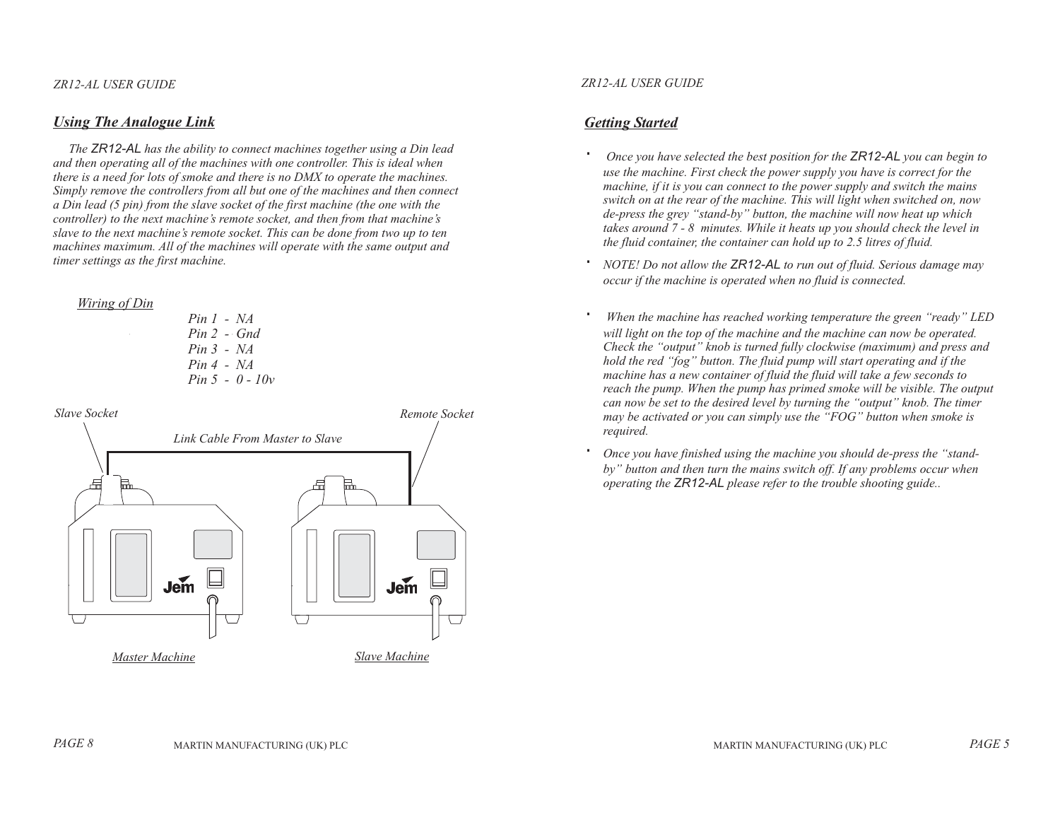# *Using The Analogue Link*

The **ZR12-AL** has the ability to connect machines together using a Din lead and then operating all of the machines with one controller. This is ideal when there is a need for lots of smoke and there is no DMX to operate the machines. Simply remove the controllers from all but one of the machines and then connect  $\alpha$  Din lead (5 pin) from the slave socket of the first machine (the one with the controller) to the next machine's remote socket, and then from that machine's slave to the next machine's remote socket. This can be done from two up to ten machines maximum. All of the machines will operate with the same output and *timer settings as the first machine.*

#### *Wiring of Din*

*Pin 1 - NAPin 2 - GndPin 3 - NAPin 4 - NA Pin 5 - 0 - 10v*



#### *ZR12-AL USER GUIDE*

# *Getting Started*

Once you have selected the best position for the **ZR12-AL** you can begin to use the machine. First check the power supply you have is correct for the machine, if it is you can connect to the power supply and switch the mains switch on at the rear of the machine. This will light when switched on, now de-press the grey "stand-by" button, the machine will now heat up which takes around 7 - 8 minutes. While it heats up you should check the level in the fluid container, the container can hold up to 2.5 litres of fluid.

NOTE! Do not allow the **ZR12-AL** to run out of fluid. Serious damage may *occur if the machine is operated when no fluid is connected.*

*When the machine has reached working temperature the green "ready" LED* will light on the top of the machine and the machine can now be operated. Check the "output" knob is turned fully clockwise (maximum) and press and hold the red "fog" button. The fluid pump will start operating and if the machine has a new container of fluid the fluid will take a few seconds to reach the pump. When the pump has primed smoke will be visible. The output can now be set to the desired level by turning the "output" knob. The timer may be activated or you can simply use the "FOG" button when smoke is *required.*

Once you have finished using the machine you should de-press the "standby" button and then turn the mains switch off. If any problems occur when *operating the please refer to the trouble shooting guide.. ZR12-AL*